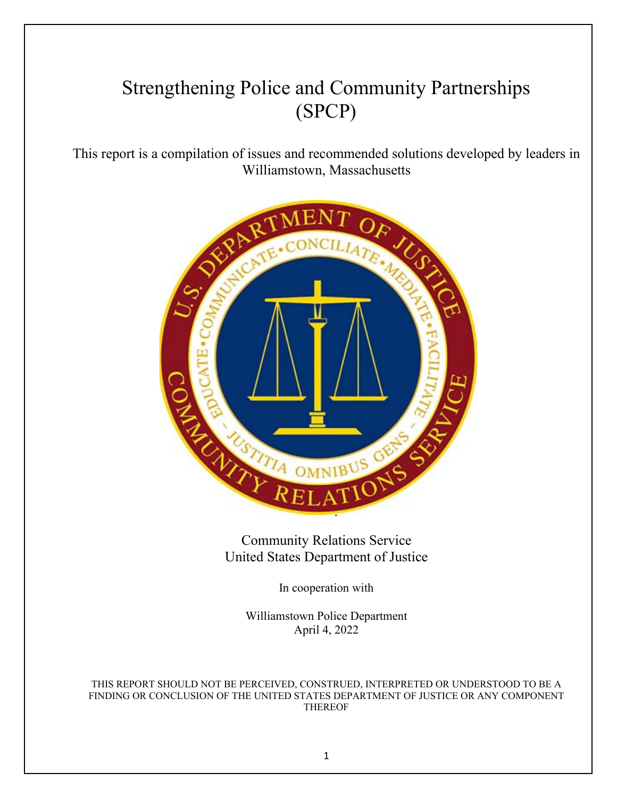# Strengthening Police and Community Partnerships (SPCP)

This report is a compilation of issues and recommended solutions developed by leaders in Williamstown, Massachusetts



Community Relations Service United States Department of Justice

In cooperation with

Williamstown Police Department April 4, 2022

THIS REPORT SHOULD NOT BE PERCEIVED, CONSTRUED, INTERPRETED OR UNDERSTOOD TO BE A FINDING OR CONCLUSION OF THE UNITED STATES DEPARTMENT OF JUSTICE OR ANY COMPONENT THEREOF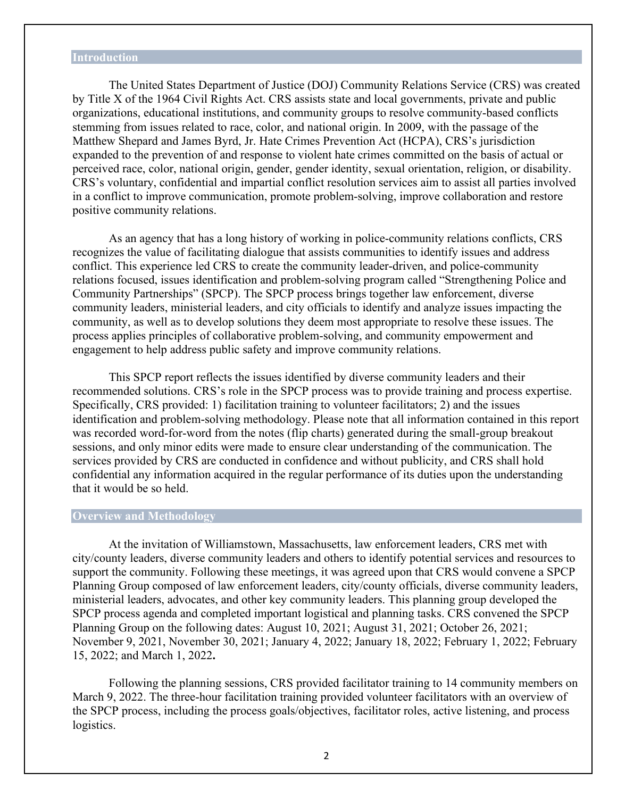#### **Introduction**

The United States Department of Justice (DOJ) Community Relations Service (CRS) was created by Title X of the 1964 Civil Rights Act. CRS assists state and local governments, private and public organizations, educational institutions, and community groups to resolve community-based conflicts stemming from issues related to race, color, and national origin. In 2009, with the passage of the Matthew Shepard and James Byrd, Jr. Hate Crimes Prevention Act (HCPA), CRS's jurisdiction expanded to the prevention of and response to violent hate crimes committed on the basis of actual or perceived race, color, national origin, gender, gender identity, sexual orientation, religion, or disability. CRS's voluntary, confidential and impartial conflict resolution services aim to assist all parties involved in a conflict to improve communication, promote problem-solving, improve collaboration and restore positive community relations.

As an agency that has a long history of working in police-community relations conflicts, CRS recognizes the value of facilitating dialogue that assists communities to identify issues and address conflict. This experience led CRS to create the community leader-driven, and police-community relations focused, issues identification and problem-solving program called "Strengthening Police and Community Partnerships" (SPCP). The SPCP process brings together law enforcement, diverse community leaders, ministerial leaders, and city officials to identify and analyze issues impacting the community, as well as to develop solutions they deem most appropriate to resolve these issues. The process applies principles of collaborative problem-solving, and community empowerment and engagement to help address public safety and improve community relations.

This SPCP report reflects the issues identified by diverse community leaders and their recommended solutions. CRS's role in the SPCP process was to provide training and process expertise. Specifically, CRS provided: 1) facilitation training to volunteer facilitators; 2) and the issues identification and problem-solving methodology. Please note that all information contained in this report was recorded word-for-word from the notes (flip charts) generated during the small-group breakout sessions, and only minor edits were made to ensure clear understanding of the communication. The services provided by CRS are conducted in confidence and without publicity, and CRS shall hold confidential any information acquired in the regular performance of its duties upon the understanding that it would be so held.

#### **Overview and Methodology**

At the invitation of Williamstown, Massachusetts, law enforcement leaders, CRS met with city/county leaders, diverse community leaders and others to identify potential services and resources to support the community. Following these meetings, it was agreed upon that CRS would convene a SPCP Planning Group composed of law enforcement leaders, city/county officials, diverse community leaders, ministerial leaders, advocates, and other key community leaders. This planning group developed the SPCP process agenda and completed important logistical and planning tasks. CRS convened the SPCP Planning Group on the following dates: August 10, 2021; August 31, 2021; October 26, 2021; November 9, 2021, November 30, 2021; January 4, 2022; January 18, 2022; February 1, 2022; February 15, 2022; and March 1, 2022**.**

Following the planning sessions, CRS provided facilitator training to 14 community members on March 9, 2022. The three-hour facilitation training provided volunteer facilitators with an overview of the SPCP process, including the process goals/objectives, facilitator roles, active listening, and process logistics.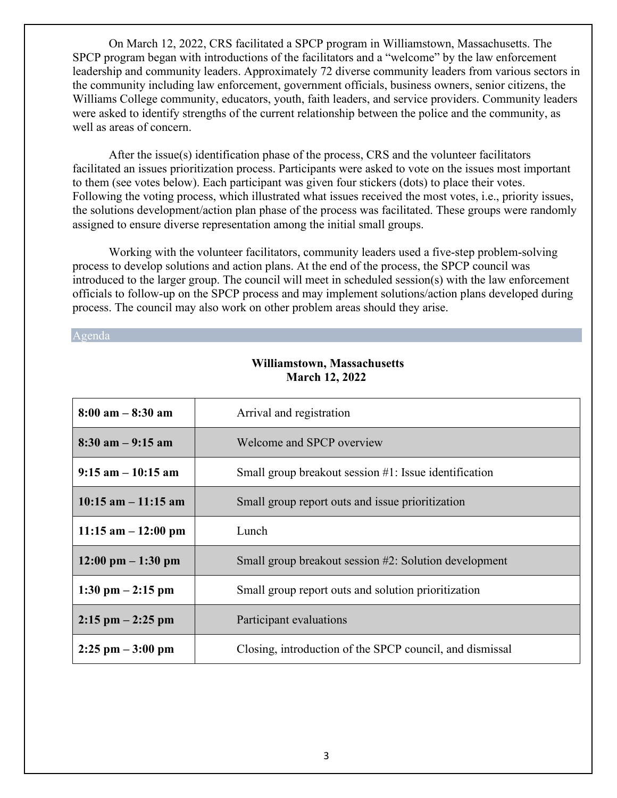On March 12, 2022, CRS facilitated a SPCP program in Williamstown, Massachusetts. The SPCP program began with introductions of the facilitators and a "welcome" by the law enforcement leadership and community leaders. Approximately 72 diverse community leaders from various sectors in the community including law enforcement, government officials, business owners, senior citizens, the Williams College community, educators, youth, faith leaders, and service providers. Community leaders were asked to identify strengths of the current relationship between the police and the community, as well as areas of concern.

After the issue(s) identification phase of the process, CRS and the volunteer facilitators facilitated an issues prioritization process. Participants were asked to vote on the issues most important to them (see votes below). Each participant was given four stickers (dots) to place their votes. Following the voting process, which illustrated what issues received the most votes, i.e., priority issues, the solutions development/action plan phase of the process was facilitated. These groups were randomly assigned to ensure diverse representation among the initial small groups.

Working with the volunteer facilitators, community leaders used a five-step problem-solving process to develop solutions and action plans. At the end of the process, the SPCP council was introduced to the larger group. The council will meet in scheduled session(s) with the law enforcement officials to follow-up on the SPCP process and may implement solutions/action plans developed during process. The council may also work on other problem areas should they arise.

Agenda

| $8:00$ am $-8:30$ am                 | Arrival and registration                                 |  |
|--------------------------------------|----------------------------------------------------------|--|
| $8:30$ am $-9:15$ am                 | Welcome and SPCP overview                                |  |
| $9:15$ am $-10:15$ am                | Small group breakout session #1: Issue identification    |  |
| $10:15$ am $-11:15$ am               | Small group report outs and issue prioritization         |  |
| 11:15 am $-12:00$ pm                 | Lunch                                                    |  |
| $12:00 \text{ pm} - 1:30 \text{ pm}$ | Small group breakout session #2: Solution development    |  |
| $1:30 \text{ pm} - 2:15 \text{ pm}$  | Small group report outs and solution prioritization      |  |
| $2:15$ pm $-2:25$ pm                 | Participant evaluations                                  |  |
| $2:25$ pm $-3:00$ pm                 | Closing, introduction of the SPCP council, and dismissal |  |

# **Williamstown, Massachusetts March 12, 2022**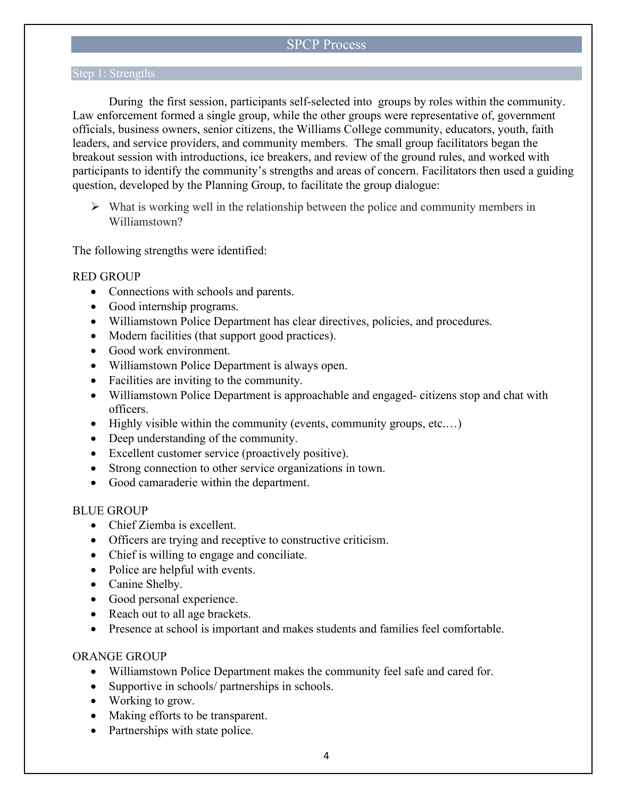# SPCP Process

During the first session, participants self-selected into groups by roles within the community. Law enforcement formed a single group, while the other groups were representative of, government officials, business owners, senior citizens, the Williams College community, educators, youth, faith leaders, and service providers, and community members.The small group facilitators began the breakout session with introductions, ice breakers, and review of the ground rules, and worked with participants to identify the community's strengths and areas of concern. Facilitators then used a guiding question, developed by the Planning Group, to facilitate the group dialogue:

 $\triangleright$  What is working well in the relationship between the police and community members in Williamstown?

The following strengths were identified:

#### RED GROUP

- Connections with schools and parents.
- Good internship programs.
- Williamstown Police Department has clear directives, policies, and procedures.
- Modern facilities (that support good practices).
- Good work environment.
- Williamstown Police Department is always open.
- Facilities are inviting to the community.
- Williamstown Police Department is approachable and engaged- citizens stop and chat with officers.
- Highly visible within the community (events, community groups, etc....)
- Deep understanding of the community.
- Excellent customer service (proactively positive).
- Strong connection to other service organizations in town.
- Good camaraderie within the department.

#### BLUE GROUP

- Chief Ziemba is excellent.
- Officers are trying and receptive to constructive criticism.
- Chief is willing to engage and conciliate.
- Police are helpful with events.
- Canine Shelby.
- Good personal experience.
- Reach out to all age brackets.
- Presence at school is important and makes students and families feel comfortable.

#### ORANGE GROUP

- Williamstown Police Department makes the community feel safe and cared for.
- Supportive in schools/ partnerships in schools.
- Working to grow.
- Making efforts to be transparent.
- Partnerships with state police.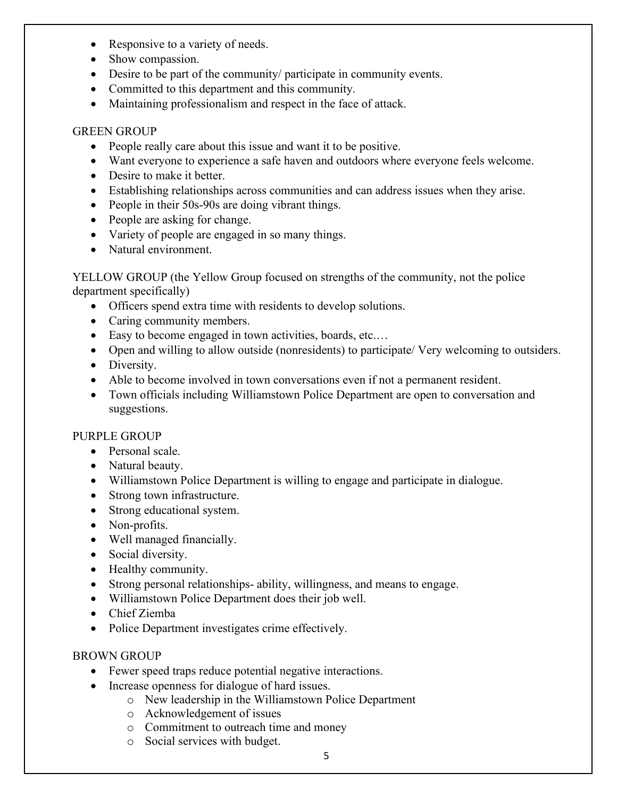- Responsive to a variety of needs.
- Show compassion.
- Desire to be part of the community/ participate in community events.
- Committed to this department and this community.
- Maintaining professionalism and respect in the face of attack.

#### GREEN GROUP

- People really care about this issue and want it to be positive.
- Want everyone to experience a safe haven and outdoors where everyone feels welcome.
- Desire to make it better.
- Establishing relationships across communities and can address issues when they arise.
- People in their 50s-90s are doing vibrant things.
- People are asking for change.
- Variety of people are engaged in so many things.
- Natural environment.

YELLOW GROUP (the Yellow Group focused on strengths of the community, not the police department specifically)

- Officers spend extra time with residents to develop solutions.
- Caring community members.
- Easy to become engaged in town activities, boards, etc....
- Open and willing to allow outside (nonresidents) to participate/ Very welcoming to outsiders.
- Diversity.
- Able to become involved in town conversations even if not a permanent resident.
- Town officials including Williamstown Police Department are open to conversation and suggestions.

#### PURPLE GROUP

- Personal scale.
- Natural beauty.
- Williamstown Police Department is willing to engage and participate in dialogue.
- Strong town infrastructure.
- Strong educational system.
- Non-profits.
- Well managed financially.
- Social diversity.
- Healthy community.
- Strong personal relationships- ability, willingness, and means to engage.
- Williamstown Police Department does their job well.
- Chief Ziemba
- Police Department investigates crime effectively.

#### BROWN GROUP

- Fewer speed traps reduce potential negative interactions.
- Increase openness for dialogue of hard issues.
	- o New leadership in the Williamstown Police Department
	- o Acknowledgement of issues
	- o Commitment to outreach time and money
	- o Social services with budget.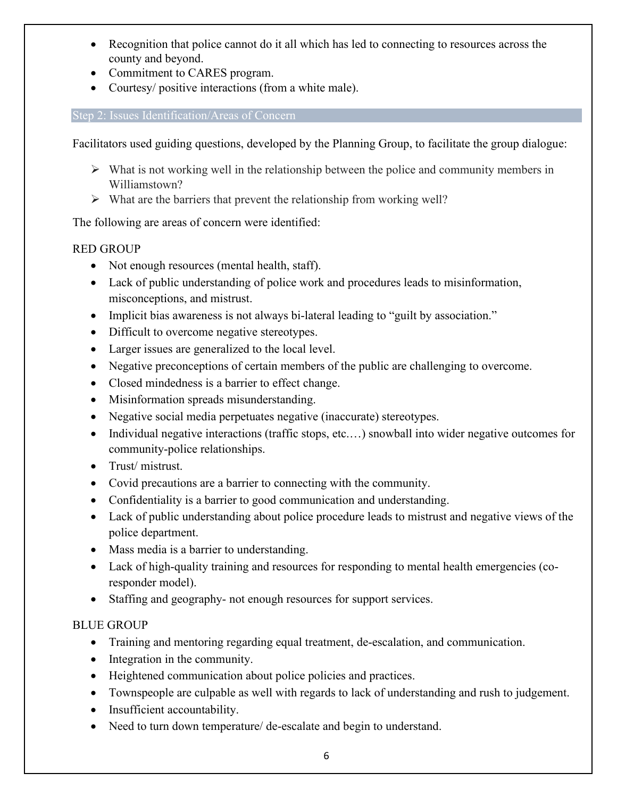- Recognition that police cannot do it all which has led to connecting to resources across the county and beyond.
- Commitment to CARES program.
- Courtesy/ positive interactions (from a white male).

#### Step 2: Issues Identification/Areas of Concern

Facilitators used guiding questions, developed by the Planning Group, to facilitate the group dialogue:

- $\triangleright$  What is not working well in the relationship between the police and community members in Williamstown?
- $\triangleright$  What are the barriers that prevent the relationship from working well?

The following are areas of concern were identified:

# RED GROUP

- Not enough resources (mental health, staff).
- Lack of public understanding of police work and procedures leads to misinformation, misconceptions, and mistrust.
- Implicit bias awareness is not always bi-lateral leading to "guilt by association."
- Difficult to overcome negative stereotypes.
- Larger issues are generalized to the local level.
- Negative preconceptions of certain members of the public are challenging to overcome.
- Closed mindedness is a barrier to effect change.
- Misinformation spreads misunderstanding.
- Negative social media perpetuates negative (inaccurate) stereotypes.
- Individual negative interactions (traffic stops, etc....) snowball into wider negative outcomes for community-police relationships.
- Trust/mistrust.
- Covid precautions are a barrier to connecting with the community.
- Confidentiality is a barrier to good communication and understanding.
- Lack of public understanding about police procedure leads to mistrust and negative views of the police department.
- Mass media is a barrier to understanding.
- Lack of high-quality training and resources for responding to mental health emergencies (coresponder model).
- Staffing and geography- not enough resources for support services.

# BLUE GROUP

- Training and mentoring regarding equal treatment, de-escalation, and communication.
- Integration in the community.
- Heightened communication about police policies and practices.
- Townspeople are culpable as well with regards to lack of understanding and rush to judgement.
- Insufficient accountability.
- Need to turn down temperature/ de-escalate and begin to understand.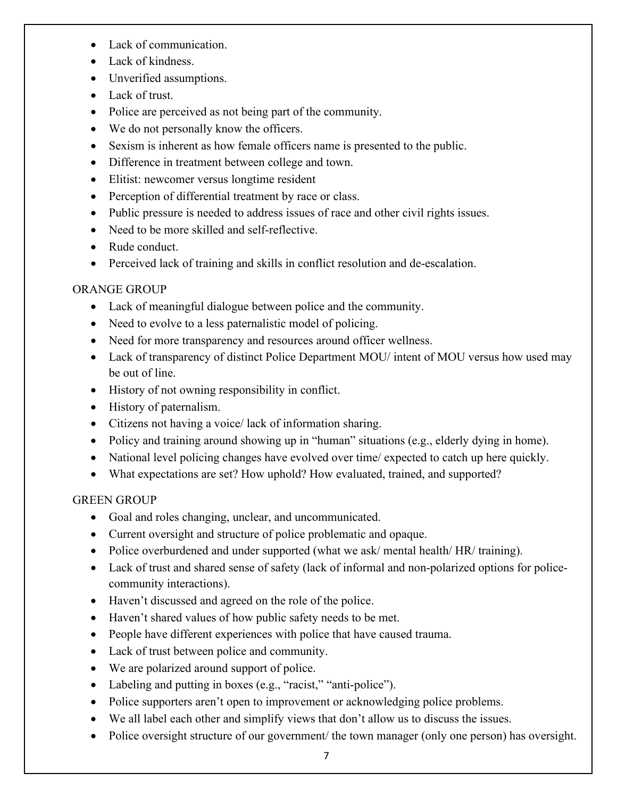- Lack of communication.
- Lack of kindness.
- Unverified assumptions.
- Lack of trust.
- Police are perceived as not being part of the community.
- We do not personally know the officers.
- Sexism is inherent as how female officers name is presented to the public.
- Difference in treatment between college and town.
- Elitist: newcomer versus longtime resident
- Perception of differential treatment by race or class.
- Public pressure is needed to address issues of race and other civil rights issues.
- Need to be more skilled and self-reflective.
- Rude conduct.
- Perceived lack of training and skills in conflict resolution and de-escalation.

# ORANGE GROUP

- Lack of meaningful dialogue between police and the community.
- Need to evolve to a less paternalistic model of policing.
- Need for more transparency and resources around officer wellness.
- Lack of transparency of distinct Police Department MOU/ intent of MOU versus how used may be out of line.
- History of not owning responsibility in conflict.
- History of paternalism.
- Citizens not having a voice/ lack of information sharing.
- Policy and training around showing up in "human" situations (e.g., elderly dying in home).
- National level policing changes have evolved over time/ expected to catch up here quickly.
- What expectations are set? How uphold? How evaluated, trained, and supported?

# GREEN GROUP

- Goal and roles changing, unclear, and uncommunicated.
- Current oversight and structure of police problematic and opaque.
- Police overburdened and under supported (what we ask/ mental health/ HR/ training).
- Lack of trust and shared sense of safety (lack of informal and non-polarized options for policecommunity interactions).
- Haven't discussed and agreed on the role of the police.
- Haven't shared values of how public safety needs to be met.
- People have different experiences with police that have caused trauma.
- Lack of trust between police and community.
- We are polarized around support of police.
- Labeling and putting in boxes (e.g., "racist," "anti-police").
- Police supporters aren't open to improvement or acknowledging police problems.
- We all label each other and simplify views that don't allow us to discuss the issues.
- Police oversight structure of our government/ the town manager (only one person) has oversight.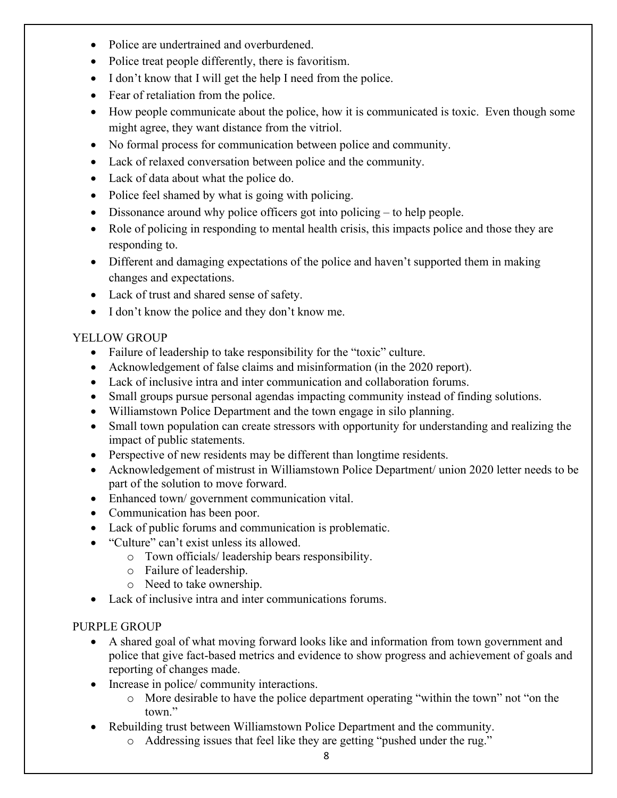- Police are undertrained and overburdened.
- Police treat people differently, there is favoritism.
- I don't know that I will get the help I need from the police.
- Fear of retaliation from the police.
- How people communicate about the police, how it is communicated is toxic. Even though some might agree, they want distance from the vitriol.
- No formal process for communication between police and community.
- Lack of relaxed conversation between police and the community.
- Lack of data about what the police do.
- Police feel shamed by what is going with policing.
- Dissonance around why police officers got into policing to help people.
- Role of policing in responding to mental health crisis, this impacts police and those they are responding to.
- Different and damaging expectations of the police and haven't supported them in making changes and expectations.
- Lack of trust and shared sense of safety.
- I don't know the police and they don't know me.

# YELLOW GROUP

- Failure of leadership to take responsibility for the "toxic" culture.
- Acknowledgement of false claims and misinformation (in the 2020 report).
- Lack of inclusive intra and inter communication and collaboration forums.
- Small groups pursue personal agendas impacting community instead of finding solutions.
- Williamstown Police Department and the town engage in silo planning.
- Small town population can create stressors with opportunity for understanding and realizing the impact of public statements.
- Perspective of new residents may be different than longtime residents.
- Acknowledgement of mistrust in Williamstown Police Department/ union 2020 letter needs to be part of the solution to move forward.
- Enhanced town/ government communication vital.
- Communication has been poor.
- Lack of public forums and communication is problematic.
- "Culture" can't exist unless its allowed.
	- o Town officials/ leadership bears responsibility.
	- o Failure of leadership.
	- o Need to take ownership.
- Lack of inclusive intra and inter communications forums.

# PURPLE GROUP

- A shared goal of what moving forward looks like and information from town government and police that give fact-based metrics and evidence to show progress and achievement of goals and reporting of changes made.
- Increase in police/ community interactions.
	- o More desirable to have the police department operating "within the town" not "on the town."
- Rebuilding trust between Williamstown Police Department and the community.
	- o Addressing issues that feel like they are getting "pushed under the rug."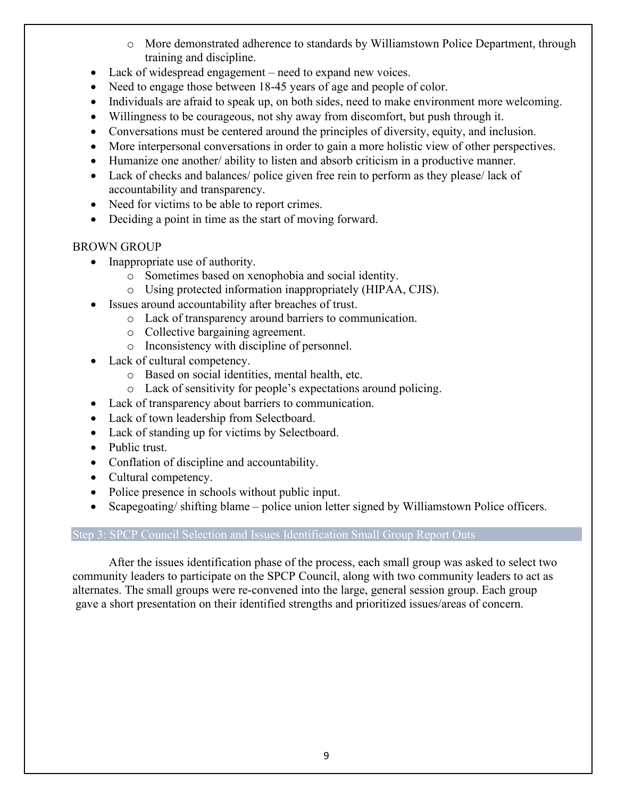- o More demonstrated adherence to standards by Williamstown Police Department, through training and discipline.
- Lack of widespread engagement need to expand new voices.
- Need to engage those between 18-45 years of age and people of color.
- Individuals are afraid to speak up, on both sides, need to make environment more welcoming.
- Willingness to be courageous, not shy away from discomfort, but push through it.
- Conversations must be centered around the principles of diversity, equity, and inclusion.
- More interpersonal conversations in order to gain a more holistic view of other perspectives.
- Humanize one another/ ability to listen and absorb criticism in a productive manner.
- Lack of checks and balances/ police given free rein to perform as they please/lack of accountability and transparency.
- Need for victims to be able to report crimes.
- Deciding a point in time as the start of moving forward.

# BROWN GROUP

- Inappropriate use of authority.
	- o Sometimes based on xenophobia and social identity.
	- o Using protected information inappropriately (HIPAA, CJIS).
- Issues around accountability after breaches of trust.
	- o Lack of transparency around barriers to communication.
	- o Collective bargaining agreement.
	- o Inconsistency with discipline of personnel.
- Lack of cultural competency.
	- o Based on social identities, mental health, etc.
	- o Lack of sensitivity for people's expectations around policing.
- Lack of transparency about barriers to communication.
- Lack of town leadership from Selectboard.
- Lack of standing up for victims by Selectboard.
- Public trust.
- Conflation of discipline and accountability.
- Cultural competency.
- Police presence in schools without public input.
- Scapegoating/ shifting blame police union letter signed by Williamstown Police officers.

# Step 3: SPCP Council Selection and Issues Identification Small Group Report Outs

 After the issues identification phase of the process, each small group was asked to select two community leaders to participate on the SPCP Council, along with two community leaders to act as alternates. The small groups were re-convened into the large, general session group. Each group gave a short presentation on their identified strengths and prioritized issues/areas of concern.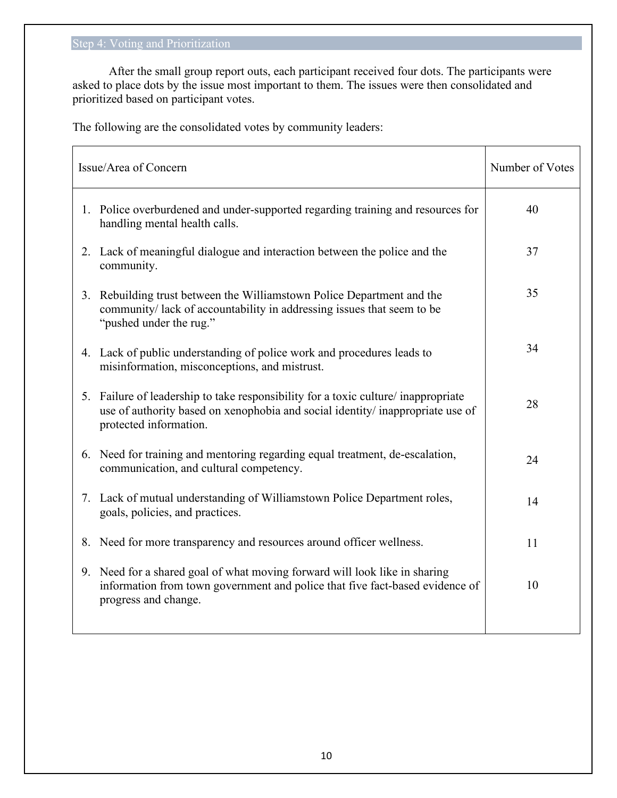# Step 4: Voting and Prioritization

 After the small group report outs, each participant received four dots. The participants were asked to place dots by the issue most important to them. The issues were then consolidated and prioritized based on participant votes.

The following are the consolidated votes by community leaders:

| Issue/Area of Concern                                                                                                                                                                             | Number of Votes |
|---------------------------------------------------------------------------------------------------------------------------------------------------------------------------------------------------|-----------------|
| 1. Police overburdened and under-supported regarding training and resources for<br>handling mental health calls.                                                                                  | 40              |
| 2. Lack of meaningful dialogue and interaction between the police and the<br>community.                                                                                                           | 37              |
| 3. Rebuilding trust between the Williamstown Police Department and the<br>community/lack of accountability in addressing issues that seem to be<br>"pushed under the rug."                        | 35              |
| 4. Lack of public understanding of police work and procedures leads to<br>misinformation, misconceptions, and mistrust.                                                                           | 34              |
| Failure of leadership to take responsibility for a toxic culture/ inappropriate<br>5.<br>use of authority based on xenophobia and social identity/ inappropriate use of<br>protected information. | 28              |
| Need for training and mentoring regarding equal treatment, de-escalation,<br>6.<br>communication, and cultural competency.                                                                        | 24              |
| 7. Lack of mutual understanding of Williamstown Police Department roles,<br>goals, policies, and practices.                                                                                       | 14              |
| 8. Need for more transparency and resources around officer wellness.                                                                                                                              | 11              |
| 9. Need for a shared goal of what moving forward will look like in sharing<br>information from town government and police that five fact-based evidence of<br>progress and change.                | 10              |
|                                                                                                                                                                                                   |                 |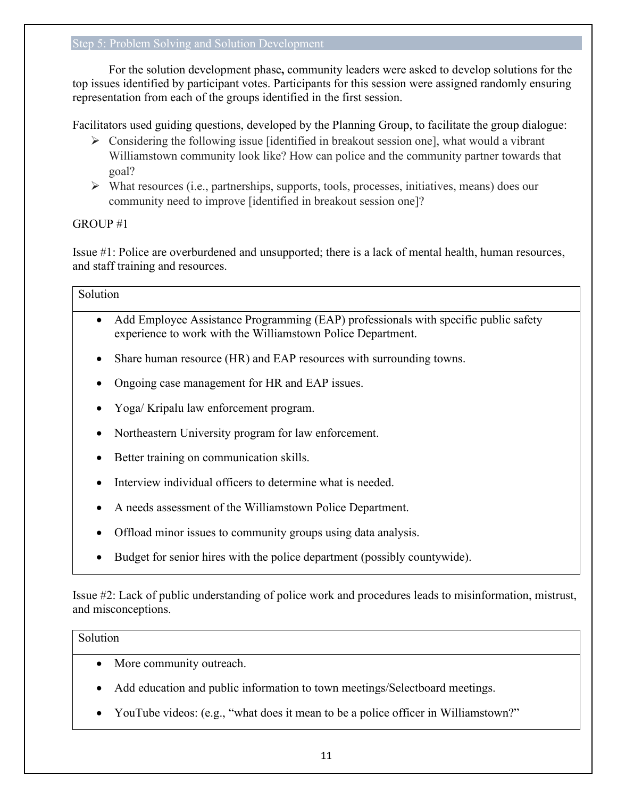#### Step 5: Problem Solving and Solution Development

For the solution development phase**,** community leaders were asked to develop solutions for the top issues identified by participant votes. Participants for this session were assigned randomly ensuring representation from each of the groups identified in the first session.

Facilitators used guiding questions, developed by the Planning Group, to facilitate the group dialogue:

- $\triangleright$  Considering the following issue [identified in breakout session one], what would a vibrant Williamstown community look like? How can police and the community partner towards that goal?
- $\triangleright$  What resources (i.e., partnerships, supports, tools, processes, initiatives, means) does our community need to improve [identified in breakout session one]?

#### GROUP #1

Issue #1: Police are overburdened and unsupported; there is a lack of mental health, human resources, and staff training and resources.

| Solution                                                                              |  |
|---------------------------------------------------------------------------------------|--|
| • Add Employee Assistance Programming (EAP) professionals with specific public safety |  |

- experience to work with the Williamstown Police Department.
- Share human resource (HR) and EAP resources with surrounding towns.
- Ongoing case management for HR and EAP issues.
- Yoga/ Kripalu law enforcement program.
- Northeastern University program for law enforcement.
- Better training on communication skills.
- Interview individual officers to determine what is needed.
- A needs assessment of the Williamstown Police Department.
- Offload minor issues to community groups using data analysis.
- Budget for senior hires with the police department (possibly countywide).

Issue #2: Lack of public understanding of police work and procedures leads to misinformation, mistrust, and misconceptions.

- More community outreach.
- Add education and public information to town meetings/Selectboard meetings.
- YouTube videos: (e.g., "what does it mean to be a police officer in Williamstown?"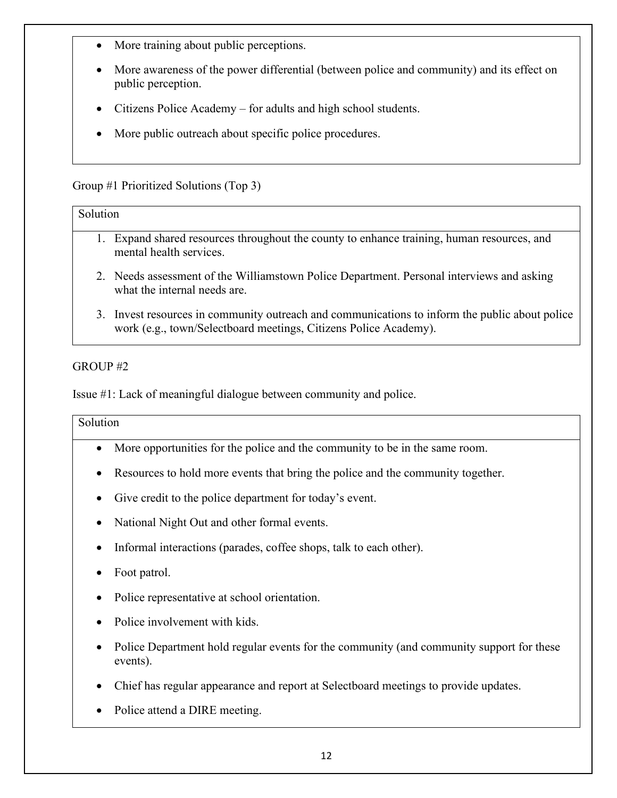- More training about public perceptions.
- More awareness of the power differential (between police and community) and its effect on public perception.
- Citizens Police Academy for adults and high school students.
- More public outreach about specific police procedures.

# Group #1 Prioritized Solutions (Top 3)

what the internal needs are.

| Solution |                                                                                                                       |
|----------|-----------------------------------------------------------------------------------------------------------------------|
|          | 1. Expand shared resources throughout the county to enhance training, human resources, and<br>mental health services. |
|          | 2. Needs assessment of the Williamstown Police Department. Personal interviews and asking                             |

3. Invest resources in community outreach and communications to inform the public about police work (e.g., town/Selectboard meetings, Citizens Police Academy).

# GROUP #2

Issue #1: Lack of meaningful dialogue between community and police.

- More opportunities for the police and the community to be in the same room.
- Resources to hold more events that bring the police and the community together.
- Give credit to the police department for today's event.
- National Night Out and other formal events.
- Informal interactions (parades, coffee shops, talk to each other).
- Foot patrol.
- Police representative at school orientation.
- Police involvement with kids.
- Police Department hold regular events for the community (and community support for these events).
- Chief has regular appearance and report at Selectboard meetings to provide updates.
- Police attend a DIRE meeting.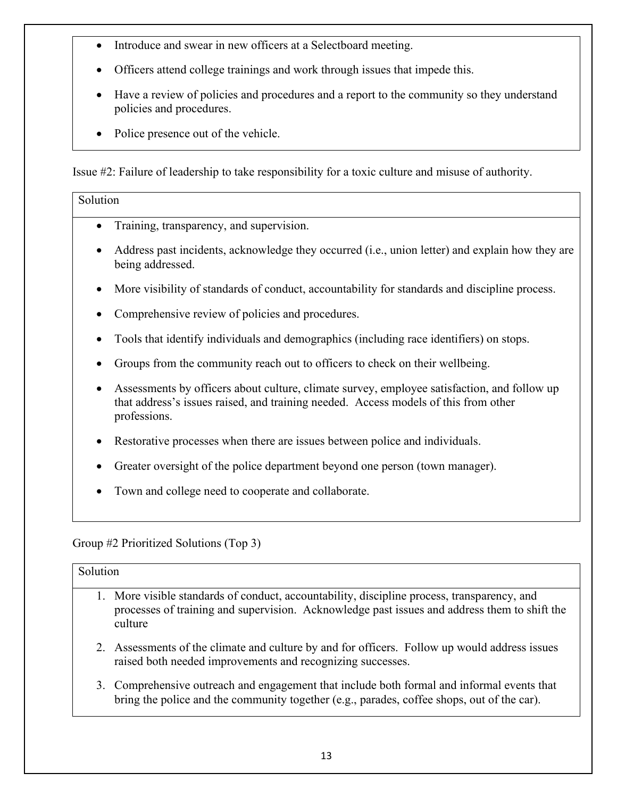- Introduce and swear in new officers at a Selectboard meeting.
- Officers attend college trainings and work through issues that impede this.
- Have a review of policies and procedures and a report to the community so they understand policies and procedures.
- Police presence out of the vehicle.

Issue #2: Failure of leadership to take responsibility for a toxic culture and misuse of authority.

# Solution

- Training, transparency, and supervision.
- Address past incidents, acknowledge they occurred (i.e., union letter) and explain how they are being addressed.
- More visibility of standards of conduct, accountability for standards and discipline process.
- Comprehensive review of policies and procedures.
- Tools that identify individuals and demographics (including race identifiers) on stops.
- Groups from the community reach out to officers to check on their wellbeing.
- Assessments by officers about culture, climate survey, employee satisfaction, and follow up that address's issues raised, and training needed. Access models of this from other professions.
- Restorative processes when there are issues between police and individuals.
- Greater oversight of the police department beyond one person (town manager).
- Town and college need to cooperate and collaborate.

Group #2 Prioritized Solutions (Top 3)

- 1. More visible standards of conduct, accountability, discipline process, transparency, and processes of training and supervision. Acknowledge past issues and address them to shift the culture
- 2. Assessments of the climate and culture by and for officers. Follow up would address issues raised both needed improvements and recognizing successes.
- 3. Comprehensive outreach and engagement that include both formal and informal events that bring the police and the community together (e.g., parades, coffee shops, out of the car).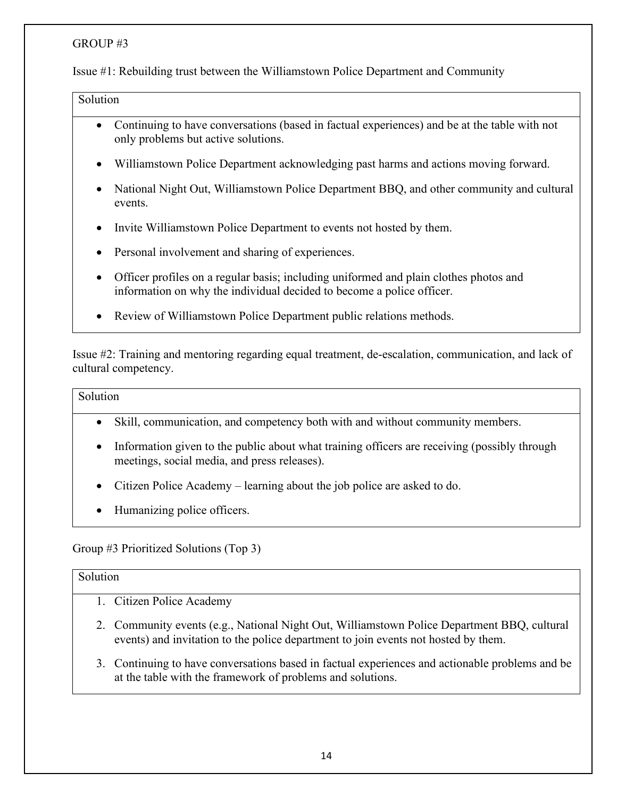# GROUP #3

Issue #1: Rebuilding trust between the Williamstown Police Department and Community

# Solution

- Continuing to have conversations (based in factual experiences) and be at the table with not only problems but active solutions.
- Williamstown Police Department acknowledging past harms and actions moving forward.
- National Night Out, Williamstown Police Department BBQ, and other community and cultural events.
- Invite Williamstown Police Department to events not hosted by them.
- Personal involvement and sharing of experiences.
- Officer profiles on a regular basis; including uniformed and plain clothes photos and information on why the individual decided to become a police officer.
- Review of Williamstown Police Department public relations methods.

Issue #2: Training and mentoring regarding equal treatment, de-escalation, communication, and lack of cultural competency.

#### Solution

- Skill, communication, and competency both with and without community members.
- Information given to the public about what training officers are receiving (possibly through meetings, social media, and press releases).
- Citizen Police Academy learning about the job police are asked to do.
- Humanizing police officers.

Group #3 Prioritized Solutions (Top 3)

- 1. Citizen Police Academy
- 2. Community events (e.g., National Night Out, Williamstown Police Department BBQ, cultural events) and invitation to the police department to join events not hosted by them.
- 3. Continuing to have conversations based in factual experiences and actionable problems and be at the table with the framework of problems and solutions.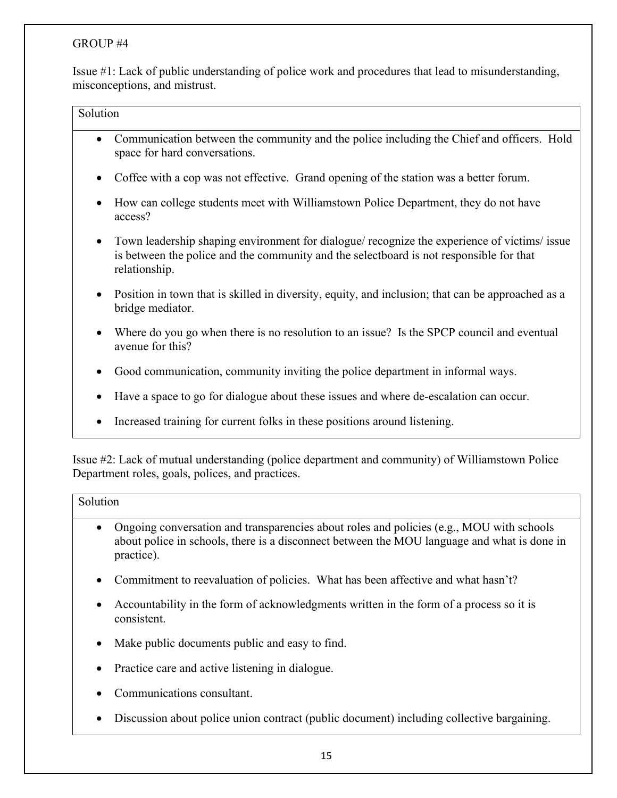# GROUP #4

Issue #1: Lack of public understanding of police work and procedures that lead to misunderstanding, misconceptions, and mistrust.

# Solution

- Communication between the community and the police including the Chief and officers. Hold space for hard conversations.
- Coffee with a cop was not effective. Grand opening of the station was a better forum.
- How can college students meet with Williamstown Police Department, they do not have access?
- Town leadership shaping environment for dialogue/ recognize the experience of victims/ issue is between the police and the community and the selectboard is not responsible for that relationship.
- Position in town that is skilled in diversity, equity, and inclusion; that can be approached as a bridge mediator.
- Where do you go when there is no resolution to an issue? Is the SPCP council and eventual avenue for this?
- Good communication, community inviting the police department in informal ways.
- Have a space to go for dialogue about these issues and where de-escalation can occur.
- Increased training for current folks in these positions around listening.

Issue #2: Lack of mutual understanding (police department and community) of Williamstown Police Department roles, goals, polices, and practices.

- Ongoing conversation and transparencies about roles and policies (e.g., MOU with schools about police in schools, there is a disconnect between the MOU language and what is done in practice).
- Commitment to reevaluation of policies. What has been affective and what hasn't?
- Accountability in the form of acknowledgments written in the form of a process so it is consistent.
- Make public documents public and easy to find.
- Practice care and active listening in dialogue.
- Communications consultant.
- Discussion about police union contract (public document) including collective bargaining.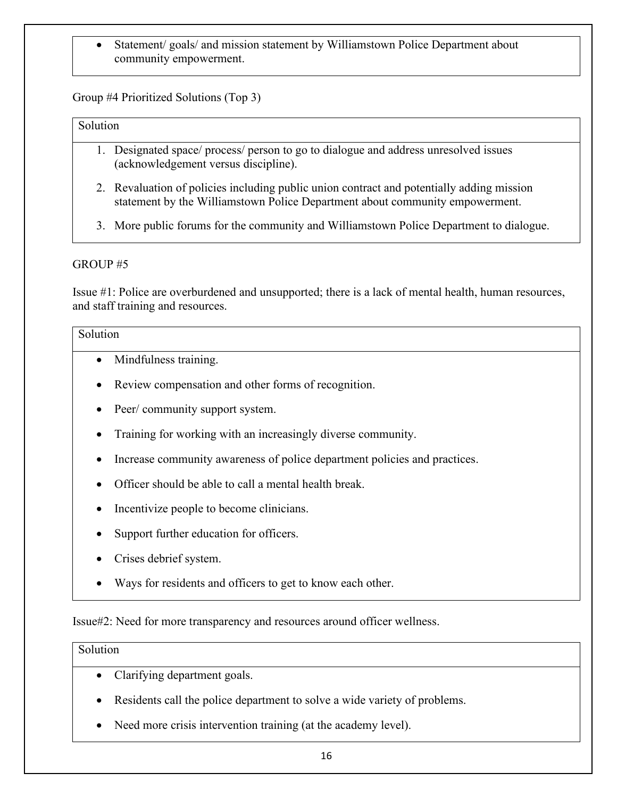Statement/ goals/ and mission statement by Williamstown Police Department about community empowerment.

Group #4 Prioritized Solutions (Top 3)

#### Solution

- 1. Designated space/ process/ person to go to dialogue and address unresolved issues (acknowledgement versus discipline).
- 2. Revaluation of policies including public union contract and potentially adding mission statement by the Williamstown Police Department about community empowerment.
- 3. More public forums for the community and Williamstown Police Department to dialogue.

#### GROUP #5

Issue #1: Police are overburdened and unsupported; there is a lack of mental health, human resources, and staff training and resources.

#### Solution

- Mindfulness training.
- Review compensation and other forms of recognition.
- Peer/ community support system.
- Training for working with an increasingly diverse community.
- Increase community awareness of police department policies and practices.
- Officer should be able to call a mental health break.
- Incentivize people to become clinicians.
- Support further education for officers.
- Crises debrief system.
- Ways for residents and officers to get to know each other.

Issue#2: Need for more transparency and resources around officer wellness.

- Clarifying department goals.
- Residents call the police department to solve a wide variety of problems.
- Need more crisis intervention training (at the academy level).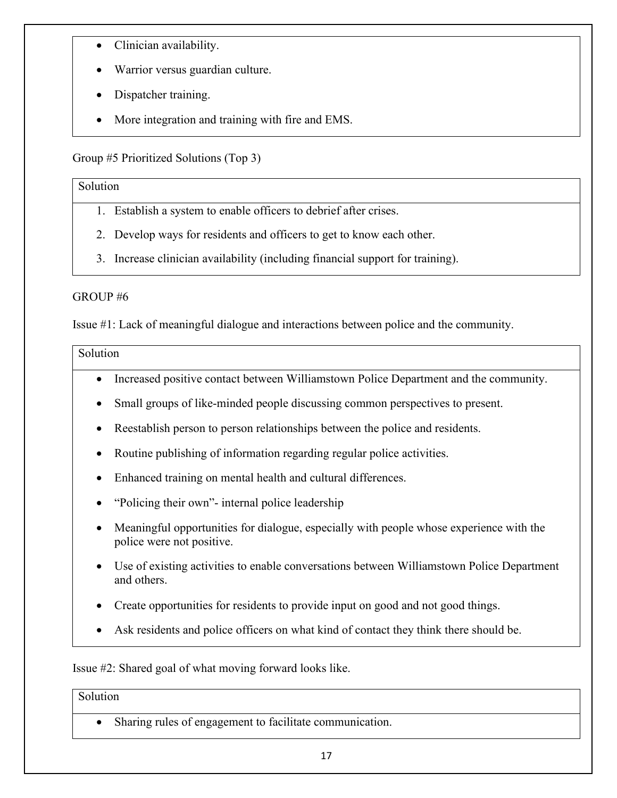- Clinician availability.
- Warrior versus guardian culture.
- Dispatcher training.
- More integration and training with fire and EMS.

Group #5 Prioritized Solutions (Top 3)

#### Solution

- 1. Establish a system to enable officers to debrief after crises.
- 2. Develop ways for residents and officers to get to know each other.
- 3. Increase clinician availability (including financial support for training).

#### GROUP #6

Issue #1: Lack of meaningful dialogue and interactions between police and the community.

# Solution

- Increased positive contact between Williamstown Police Department and the community.
- Small groups of like-minded people discussing common perspectives to present.
- Reestablish person to person relationships between the police and residents.
- Routine publishing of information regarding regular police activities.
- Enhanced training on mental health and cultural differences.
- "Policing their own"- internal police leadership
- Meaningful opportunities for dialogue, especially with people whose experience with the police were not positive.
- Use of existing activities to enable conversations between Williamstown Police Department and others.
- Create opportunities for residents to provide input on good and not good things.
- Ask residents and police officers on what kind of contact they think there should be.

Issue #2: Shared goal of what moving forward looks like.

#### Solution

• Sharing rules of engagement to facilitate communication.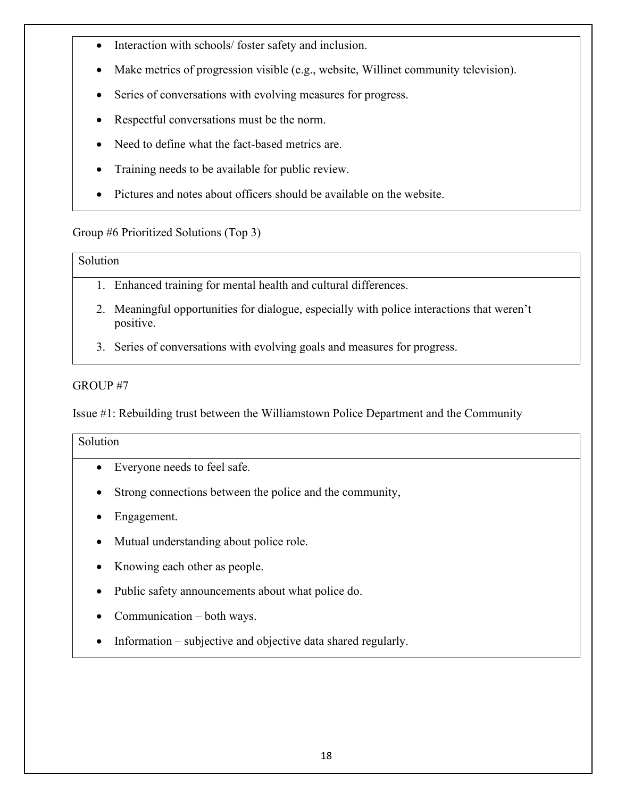- Interaction with schools/ foster safety and inclusion.
- Make metrics of progression visible (e.g., website, Willinet community television).
- Series of conversations with evolving measures for progress.
- Respectful conversations must be the norm.
- Need to define what the fact-based metrics are.
- Training needs to be available for public review.
- Pictures and notes about officers should be available on the website.

# Group #6 Prioritized Solutions (Top 3)

# Solution

- 1. Enhanced training for mental health and cultural differences.
- 2. Meaningful opportunities for dialogue, especially with police interactions that weren't positive.
- 3. Series of conversations with evolving goals and measures for progress.

# GROUP #7

Issue #1: Rebuilding trust between the Williamstown Police Department and the Community

- Everyone needs to feel safe.
- Strong connections between the police and the community,
- Engagement.
- Mutual understanding about police role.
- Knowing each other as people.
- Public safety announcements about what police do.
- Communication both ways.
- Information subjective and objective data shared regularly.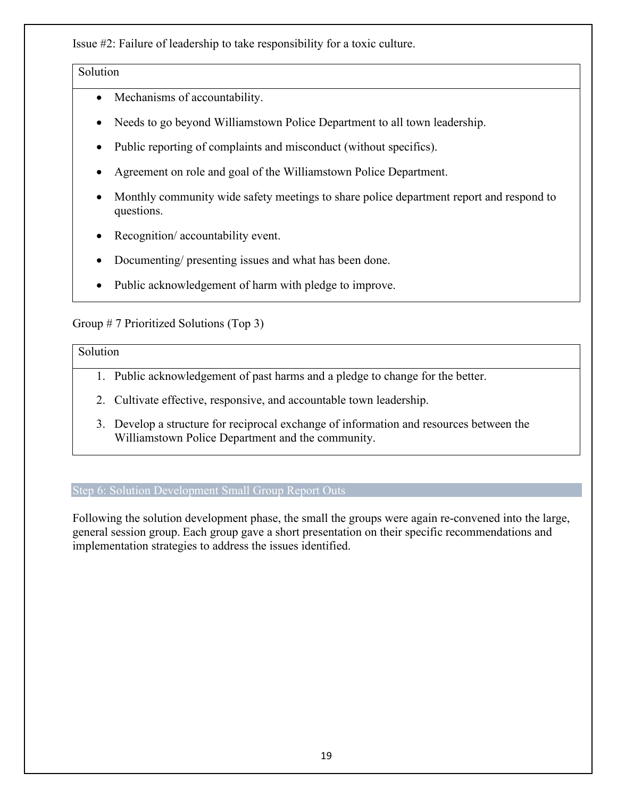Issue #2: Failure of leadership to take responsibility for a toxic culture.

#### Solution

- Mechanisms of accountability.
- Needs to go beyond Williamstown Police Department to all town leadership.
- Public reporting of complaints and misconduct (without specifics).
- Agreement on role and goal of the Williamstown Police Department.
- Monthly community wide safety meetings to share police department report and respond to questions.
- Recognition/ accountability event.
- Documenting/ presenting issues and what has been done.
- Public acknowledgement of harm with pledge to improve.

# Group # 7 Prioritized Solutions (Top 3)

# Solution

- 1. Public acknowledgement of past harms and a pledge to change for the better.
- 2. Cultivate effective, responsive, and accountable town leadership.
- 3. Develop a structure for reciprocal exchange of information and resources between the Williamstown Police Department and the community.

#### Step 6: Solution Development Small Group Report Outs

Following the solution development phase, the small the groups were again re-convened into the large, general session group. Each group gave a short presentation on their specific recommendations and implementation strategies to address the issues identified.